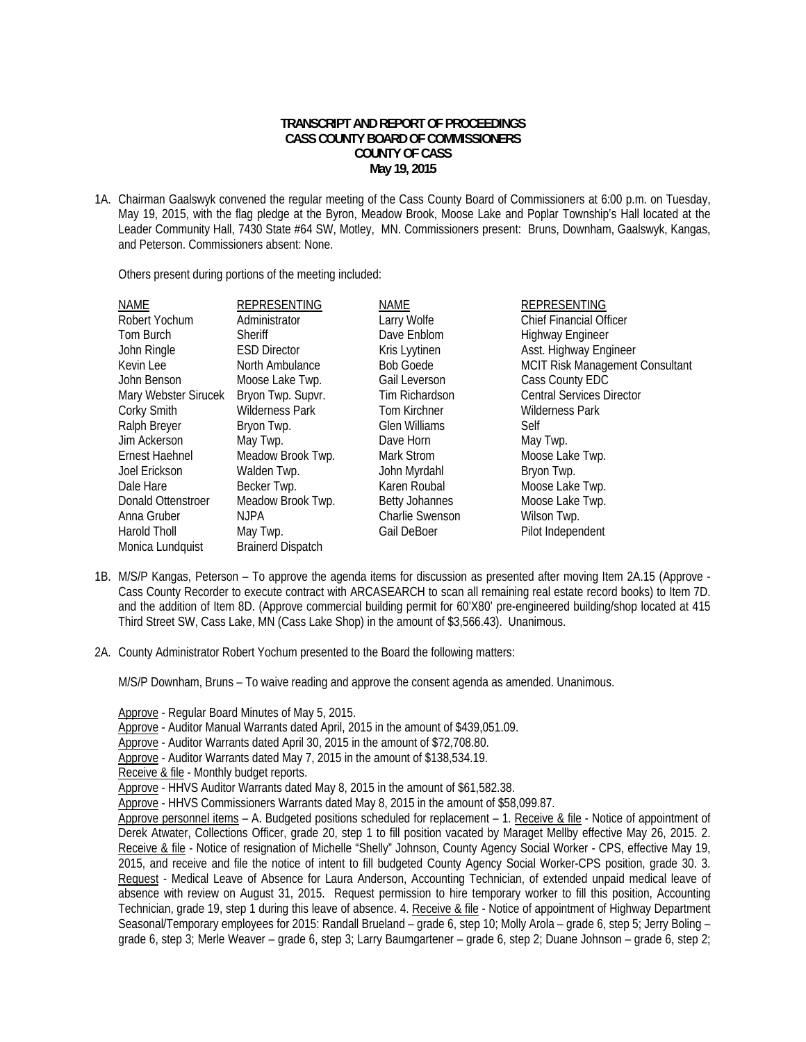## **TRANSCRIPT AND REPORT OF PROCEEDINGS CASS COUNTY BOARD OF COMMISSIONERS COUNTY OF CASS May 19, 2015**

1A. Chairman Gaalswyk convened the regular meeting of the Cass County Board of Commissioners at 6:00 p.m. on Tuesday, May 19, 2015, with the flag pledge at the Byron, Meadow Brook, Moose Lake and Poplar Township's Hall located at the Leader Community Hall, 7430 State #64 SW, Motley, MN. Commissioners present: Bruns, Downham, Gaalswyk, Kangas, and Peterson. Commissioners absent: None.

Others present during portions of the meeting included:

| NAME                 | <b>REPRESENTING</b>      | <b>NAME</b>            | <b>REPRESENTING</b>                    |
|----------------------|--------------------------|------------------------|----------------------------------------|
| Robert Yochum        | Administrator            | Larry Wolfe            | <b>Chief Financial Officer</b>         |
| Tom Burch            | Sheriff                  | Dave Enblom            | <b>Highway Engineer</b>                |
| John Ringle          | <b>ESD Director</b>      | Kris Lyytinen          | Asst. Highway Engineer                 |
| Kevin Lee            | North Ambulance          | <b>Bob Goede</b>       | <b>MCIT Risk Management Consultant</b> |
| John Benson          | Moose Lake Twp.          | Gail Leverson          | Cass County EDC                        |
| Mary Webster Sirucek | Bryon Twp. Supvr.        | Tim Richardson         | <b>Central Services Director</b>       |
| Corky Smith          | <b>Wilderness Park</b>   | <b>Tom Kirchner</b>    | <b>Wilderness Park</b>                 |
| Ralph Breyer         | Bryon Twp.               | <b>Glen Williams</b>   | Self                                   |
| Jim Ackerson         | May Twp.                 | Dave Horn              | May Twp.                               |
| Ernest Haehnel       | Meadow Brook Twp.        | Mark Strom             | Moose Lake Twp.                        |
| Joel Erickson        | Walden Twp.              | John Myrdahl           | Bryon Twp.                             |
| Dale Hare            | Becker Twp.              | Karen Roubal           | Moose Lake Twp.                        |
| Donald Ottenstroer   | Meadow Brook Twp.        | <b>Betty Johannes</b>  | Moose Lake Twp.                        |
| Anna Gruber          | <b>NJPA</b>              | <b>Charlie Swenson</b> | Wilson Twp.                            |
| Harold Tholl         | May Twp.                 | Gail DeBoer            | Pilot Independent                      |
| Monica Lundquist     | <b>Brainerd Dispatch</b> |                        |                                        |

- 1B. M/S/P Kangas, Peterson To approve the agenda items for discussion as presented after moving Item 2A.15 (Approve Cass County Recorder to execute contract with ARCASEARCH to scan all remaining real estate record books) to Item 7D. and the addition of Item 8D. (Approve commercial building permit for 60'X80' pre-engineered building/shop located at 415 Third Street SW, Cass Lake, MN (Cass Lake Shop) in the amount of \$3,566.43). Unanimous.
- 2A. County Administrator Robert Yochum presented to the Board the following matters:

M/S/P Downham, Bruns – To waive reading and approve the consent agenda as amended. Unanimous.

Approve - Regular Board Minutes of May 5, 2015.

- Approve Auditor Manual Warrants dated April, 2015 in the amount of \$439,051.09.
- Approve Auditor Warrants dated April 30, 2015 in the amount of \$72,708.80.
- Approve Auditor Warrants dated May 7, 2015 in the amount of \$138,534.19.

Receive & file - Monthly budget reports.

Approve - HHVS Auditor Warrants dated May 8, 2015 in the amount of \$61,582.38.

Approve - HHVS Commissioners Warrants dated May 8, 2015 in the amount of \$58,099.87.

Approve personnel items – A. Budgeted positions scheduled for replacement – 1. Receive & file - Notice of appointment of Derek Atwater, Collections Officer, grade 20, step 1 to fill position vacated by Maraget Mellby effective May 26, 2015. 2. Receive & file - Notice of resignation of Michelle "Shelly" Johnson, County Agency Social Worker - CPS, effective May 19, 2015, and receive and file the notice of intent to fill budgeted County Agency Social Worker-CPS position, grade 30. 3. Request - Medical Leave of Absence for Laura Anderson, Accounting Technician, of extended unpaid medical leave of absence with review on August 31, 2015. Request permission to hire temporary worker to fill this position, Accounting Technician, grade 19, step 1 during this leave of absence. 4. Receive & file - Notice of appointment of Highway Department Seasonal/Temporary employees for 2015: Randall Brueland – grade 6, step 10; Molly Arola – grade 6, step 5; Jerry Boling – grade 6, step 3; Merle Weaver – grade 6, step 3; Larry Baumgartener – grade 6, step 2; Duane Johnson – grade 6, step 2;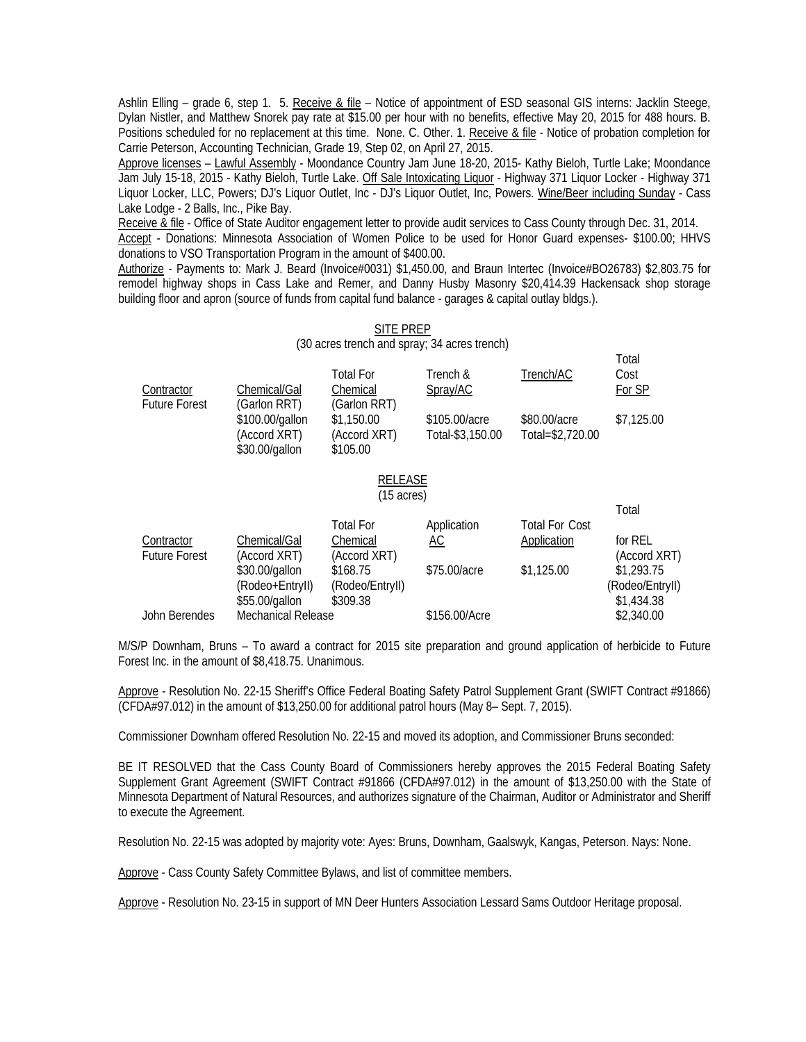Ashlin Elling – grade 6, step 1. 5. Receive & file – Notice of appointment of ESD seasonal GIS interns: Jacklin Steege, Dylan Nistler, and Matthew Snorek pay rate at \$15.00 per hour with no benefits, effective May 20, 2015 for 488 hours. B. Positions scheduled for no replacement at this time. None. C. Other. 1. Receive & file - Notice of probation completion for Carrie Peterson, Accounting Technician, Grade 19, Step 02, on April 27, 2015.

Approve licenses – Lawful Assembly - Moondance Country Jam June 18-20, 2015- Kathy Bieloh, Turtle Lake; Moondance Jam July 15-18, 2015 - Kathy Bieloh, Turtle Lake. Off Sale Intoxicating Liquor - Highway 371 Liquor Locker - Highway 371 Liquor Locker, LLC, Powers; DJ's Liquor Outlet, Inc - DJ's Liquor Outlet, Inc, Powers. Wine/Beer including Sunday - Cass Lake Lodge - 2 Balls, Inc., Pike Bay.

 Receive & file - Office of State Auditor engagement letter to provide audit services to Cass County through Dec. 31, 2014. Accept - Donations: Minnesota Association of Women Police to be used for Honor Guard expenses- \$100.00; HHVS donations to VSO Transportation Program in the amount of \$400.00.

Authorize - Payments to: Mark J. Beard (Invoice#0031) \$1,450.00, and Braun Intertec (Invoice#BO26783) \$2,803.75 for remodel highway shops in Cass Lake and Remer, and Danny Husby Masonry \$20,414.39 Hackensack shop storage building floor and apron (source of funds from capital fund balance - garages & capital outlay bldgs.).

## SITE PREP (30 acres trench and spray; 34 acres trench)

| Contractor           | Chemical/Gal                                                      | Total For<br>Chemical                                  | Trench &<br>Spray/AC              | Trench/AC                        | Total<br>Cost<br>For SP |
|----------------------|-------------------------------------------------------------------|--------------------------------------------------------|-----------------------------------|----------------------------------|-------------------------|
| <b>Future Forest</b> | (Garlon RRT)<br>\$100.00/gallon<br>(Accord XRT)<br>\$30.00/gallon | (Garlon RRT)<br>\$1,150.00<br>(Accord XRT)<br>\$105.00 | \$105.00/acre<br>Total-\$3,150.00 | \$80,00/acre<br>Total=\$2,720.00 | \$7,125.00              |

## RELEASE (15 acres)

|                      |                 |                 |                    |                       | Total           |
|----------------------|-----------------|-----------------|--------------------|-----------------------|-----------------|
|                      |                 | Total For       | Application        | <b>Total For Cost</b> |                 |
| Contractor           | Chemical/Gal    | Chemical        | <u>AC</u>          | Application           | for REL         |
| <b>Future Forest</b> | (Accord XRT)    | (Accord XRT)    |                    |                       | (Accord XRT)    |
|                      | \$30.00/gallon  | \$168.75        | \$75.00/acre       | \$1,125.00            | \$1,293.75      |
|                      | (Rodeo+EntryII) | (Rodeo/Entryll) |                    |                       | (Rodeo/Entryll) |
|                      | \$55.00/gallon  | \$309.38        |                    |                       | \$1,434.38      |
| John Berendes        |                 |                 | \$156.00/Acre      |                       | \$2,340.00      |
|                      |                 |                 | Mechanical Release |                       |                 |

M/S/P Downham, Bruns – To award a contract for 2015 site preparation and ground application of herbicide to Future Forest Inc. in the amount of \$8,418.75. Unanimous.

Approve - Resolution No. 22-15 Sheriff's Office Federal Boating Safety Patrol Supplement Grant (SWIFT Contract #91866) (CFDA#97.012) in the amount of \$13,250.00 for additional patrol hours (May 8– Sept. 7, 2015).

Commissioner Downham offered Resolution No. 22-15 and moved its adoption, and Commissioner Bruns seconded:

BE IT RESOLVED that the Cass County Board of Commissioners hereby approves the 2015 Federal Boating Safety Supplement Grant Agreement (SWIFT Contract #91866 (CFDA#97.012) in the amount of \$13,250.00 with the State of Minnesota Department of Natural Resources, and authorizes signature of the Chairman, Auditor or Administrator and Sheriff to execute the Agreement.

Resolution No. 22-15 was adopted by majority vote: Ayes: Bruns, Downham, Gaalswyk, Kangas, Peterson. Nays: None.

Approve - Cass County Safety Committee Bylaws, and list of committee members.

Approve - Resolution No. 23-15 in support of MN Deer Hunters Association Lessard Sams Outdoor Heritage proposal.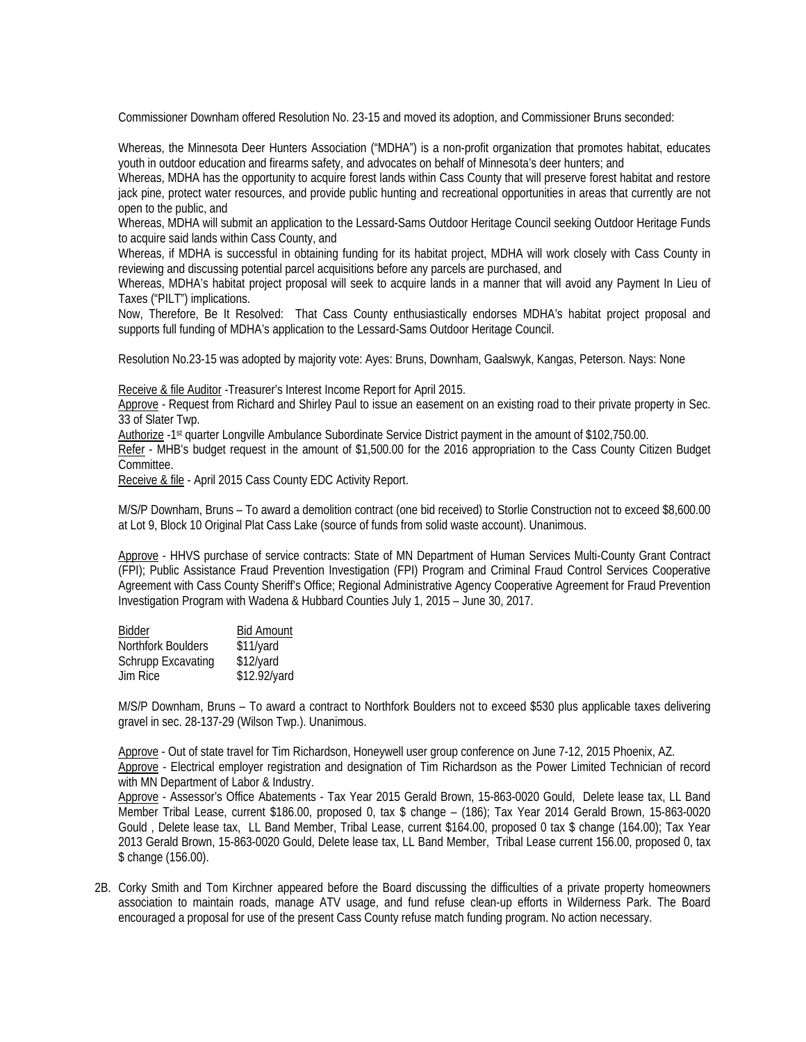Commissioner Downham offered Resolution No. 23-15 and moved its adoption, and Commissioner Bruns seconded:

Whereas, the Minnesota Deer Hunters Association ("MDHA") is a non-profit organization that promotes habitat, educates youth in outdoor education and firearms safety, and advocates on behalf of Minnesota's deer hunters; and

Whereas, MDHA has the opportunity to acquire forest lands within Cass County that will preserve forest habitat and restore jack pine, protect water resources, and provide public hunting and recreational opportunities in areas that currently are not open to the public, and

Whereas, MDHA will submit an application to the Lessard-Sams Outdoor Heritage Council seeking Outdoor Heritage Funds to acquire said lands within Cass County, and

Whereas, if MDHA is successful in obtaining funding for its habitat project, MDHA will work closely with Cass County in reviewing and discussing potential parcel acquisitions before any parcels are purchased, and

Whereas, MDHA's habitat project proposal will seek to acquire lands in a manner that will avoid any Payment In Lieu of Taxes ("PILT") implications.

Now, Therefore, Be It Resolved: That Cass County enthusiastically endorses MDHA's habitat project proposal and supports full funding of MDHA's application to the Lessard-Sams Outdoor Heritage Council.

Resolution No.23-15 was adopted by majority vote: Ayes: Bruns, Downham, Gaalswyk, Kangas, Peterson. Nays: None

Receive & file Auditor -Treasurer's Interest Income Report for April 2015.

Approve - Request from Richard and Shirley Paul to issue an easement on an existing road to their private property in Sec. 33 of Slater Twp.

Authorize -1st quarter Longville Ambulance Subordinate Service District payment in the amount of \$102,750.00.

Refer - MHB's budget request in the amount of \$1,500.00 for the 2016 appropriation to the Cass County Citizen Budget Committee.

Receive & file - April 2015 Cass County EDC Activity Report.

M/S/P Downham, Bruns – To award a demolition contract (one bid received) to Storlie Construction not to exceed \$8,600.00 at Lot 9, Block 10 Original Plat Cass Lake (source of funds from solid waste account). Unanimous.

Approve - HHVS purchase of service contracts: State of MN Department of Human Services Multi-County Grant Contract (FPI); Public Assistance Fraud Prevention Investigation (FPI) Program and Criminal Fraud Control Services Cooperative Agreement with Cass County Sheriff's Office; Regional Administrative Agency Cooperative Agreement for Fraud Prevention Investigation Program with Wadena & Hubbard Counties July 1, 2015 – June 30, 2017.

| <b>Bidder</b>             | <b>Bid Amount</b> |
|---------------------------|-------------------|
| Northfork Boulders        | \$11/yard         |
| <b>Schrupp Excavating</b> | \$12/yard         |
| Jim Rice                  | \$12.92/yard      |

M/S/P Downham, Bruns – To award a contract to Northfork Boulders not to exceed \$530 plus applicable taxes delivering gravel in sec. 28-137-29 (Wilson Twp.). Unanimous.

Approve - Out of state travel for Tim Richardson, Honeywell user group conference on June 7-12, 2015 Phoenix, AZ. Approve - Electrical employer registration and designation of Tim Richardson as the Power Limited Technician of record with MN Department of Labor & Industry.

Approve - Assessor's Office Abatements - Tax Year 2015 Gerald Brown, 15-863-0020 Gould, Delete lease tax, LL Band Member Tribal Lease, current \$186.00, proposed 0, tax \$ change – (186); Tax Year 2014 Gerald Brown, 15-863-0020 Gould , Delete lease tax, LL Band Member, Tribal Lease, current \$164.00, proposed 0 tax \$ change (164.00); Tax Year 2013 Gerald Brown, 15-863-0020 Gould, Delete lease tax, LL Band Member, Tribal Lease current 156.00, proposed 0, tax \$ change (156.00).

2B. Corky Smith and Tom Kirchner appeared before the Board discussing the difficulties of a private property homeowners association to maintain roads, manage ATV usage, and fund refuse clean-up efforts in Wilderness Park. The Board encouraged a proposal for use of the present Cass County refuse match funding program. No action necessary.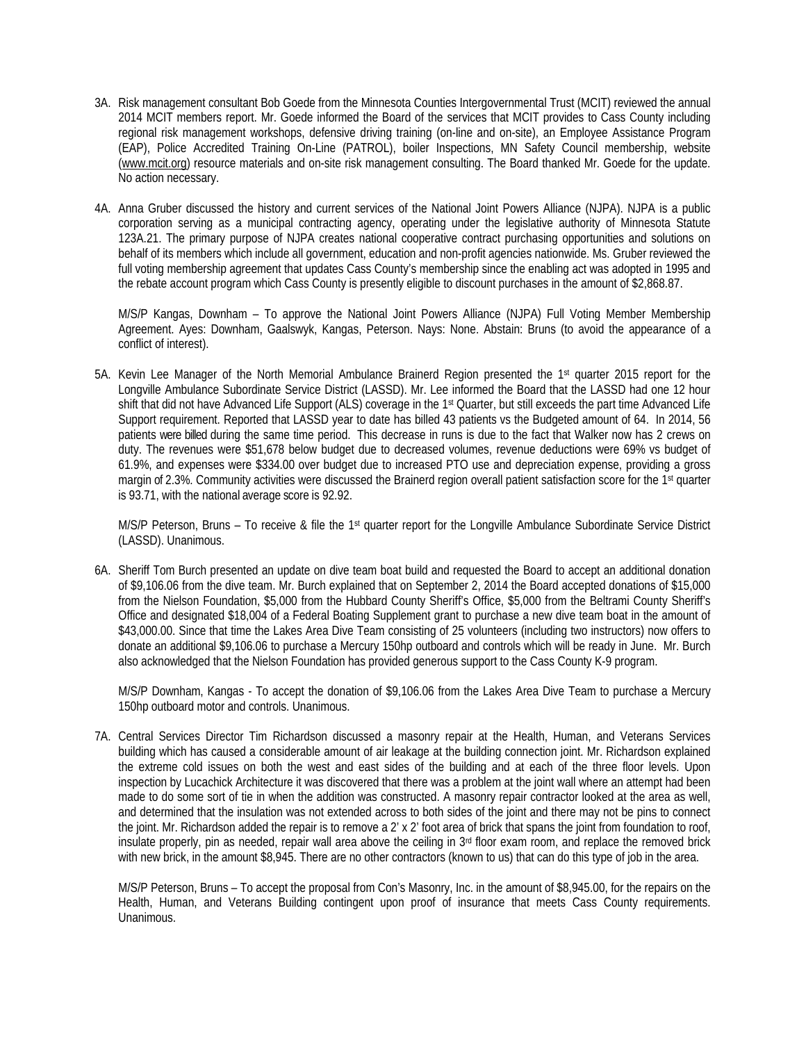- 3A. Risk management consultant Bob Goede from the Minnesota Counties Intergovernmental Trust (MCIT) reviewed the annual 2014 MCIT members report. Mr. Goede informed the Board of the services that MCIT provides to Cass County including regional risk management workshops, defensive driving training (on-line and on-site), an Employee Assistance Program (EAP), Police Accredited Training On-Line (PATROL), boiler Inspections, MN Safety Council membership, website (www.mcit.org) resource materials and on-site risk management consulting. The Board thanked Mr. Goede for the update. No action necessary.
- 4A. Anna Gruber discussed the history and current services of the National Joint Powers Alliance (NJPA). NJPA is a public corporation serving as a municipal contracting agency, operating under the legislative authority of Minnesota Statute 123A.21. The primary purpose of NJPA creates national cooperative contract purchasing opportunities and solutions on behalf of its members which include all government, education and non-profit agencies nationwide. Ms. Gruber reviewed the full voting membership agreement that updates Cass County's membership since the enabling act was adopted in 1995 and the rebate account program which Cass County is presently eligible to discount purchases in the amount of \$2,868.87.

M/S/P Kangas, Downham – To approve the National Joint Powers Alliance (NJPA) Full Voting Member Membership Agreement. Ayes: Downham, Gaalswyk, Kangas, Peterson. Nays: None. Abstain: Bruns (to avoid the appearance of a conflict of interest).

5A. Kevin Lee Manager of the North Memorial Ambulance Brainerd Region presented the 1st quarter 2015 report for the Longville Ambulance Subordinate Service District (LASSD). Mr. Lee informed the Board that the LASSD had one 12 hour shift that did not have Advanced Life Support (ALS) coverage in the 1<sup>st</sup> Quarter, but still exceeds the part time Advanced Life Support requirement. Reported that LASSD year to date has billed 43 patients vs the Budgeted amount of 64. In 2014, 56 patients were billed during the same time period. This decrease in runs is due to the fact that Walker now has 2 crews on duty. The revenues were \$51,678 below budget due to decreased volumes, revenue deductions were 69% vs budget of 61.9%, and expenses were \$334.00 over budget due to increased PTO use and depreciation expense, providing a gross margin of 2.3%. Community activities were discussed the Brainerd region overall patient satisfaction score for the 1<sup>st</sup> quarter is 93.71, with the national average score is 92.92.

M/S/P Peterson, Bruns – To receive & file the 1st quarter report for the Longville Ambulance Subordinate Service District (LASSD). Unanimous.

6A. Sheriff Tom Burch presented an update on dive team boat build and requested the Board to accept an additional donation of \$9,106.06 from the dive team. Mr. Burch explained that on September 2, 2014 the Board accepted donations of \$15,000 from the Nielson Foundation, \$5,000 from the Hubbard County Sheriff's Office, \$5,000 from the Beltrami County Sheriff's Office and designated \$18,004 of a Federal Boating Supplement grant to purchase a new dive team boat in the amount of \$43,000.00. Since that time the Lakes Area Dive Team consisting of 25 volunteers (including two instructors) now offers to donate an additional \$9,106.06 to purchase a Mercury 150hp outboard and controls which will be ready in June. Mr. Burch also acknowledged that the Nielson Foundation has provided generous support to the Cass County K-9 program.

M/S/P Downham, Kangas - To accept the donation of \$9,106.06 from the Lakes Area Dive Team to purchase a Mercury 150hp outboard motor and controls. Unanimous.

7A. Central Services Director Tim Richardson discussed a masonry repair at the Health, Human, and Veterans Services building which has caused a considerable amount of air leakage at the building connection joint. Mr. Richardson explained the extreme cold issues on both the west and east sides of the building and at each of the three floor levels. Upon inspection by Lucachick Architecture it was discovered that there was a problem at the joint wall where an attempt had been made to do some sort of tie in when the addition was constructed. A masonry repair contractor looked at the area as well, and determined that the insulation was not extended across to both sides of the joint and there may not be pins to connect the joint. Mr. Richardson added the repair is to remove a 2' x 2' foot area of brick that spans the joint from foundation to roof, insulate properly, pin as needed, repair wall area above the ceiling in  $3<sup>rd</sup>$  floor exam room, and replace the removed brick with new brick, in the amount \$8,945. There are no other contractors (known to us) that can do this type of job in the area.

M/S/P Peterson, Bruns – To accept the proposal from Con's Masonry, Inc. in the amount of \$8,945.00, for the repairs on the Health, Human, and Veterans Building contingent upon proof of insurance that meets Cass County requirements. Unanimous.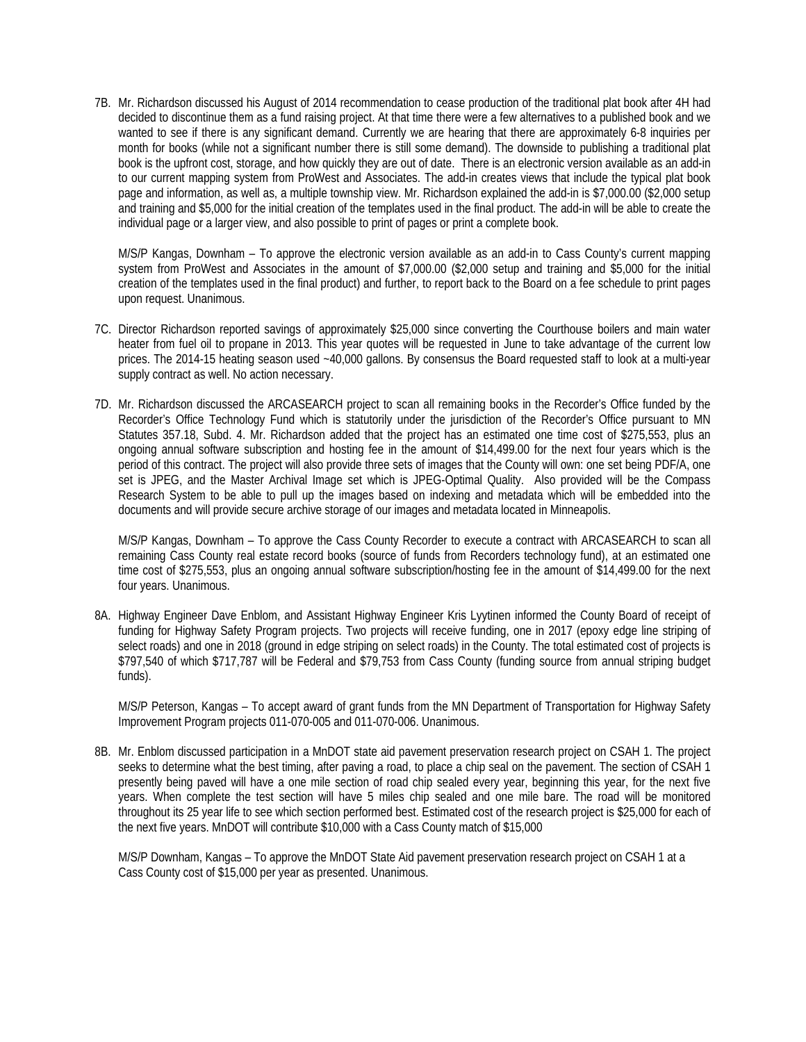7B. Mr. Richardson discussed his August of 2014 recommendation to cease production of the traditional plat book after 4H had decided to discontinue them as a fund raising project. At that time there were a few alternatives to a published book and we wanted to see if there is any significant demand. Currently we are hearing that there are approximately 6-8 inquiries per month for books (while not a significant number there is still some demand). The downside to publishing a traditional plat book is the upfront cost, storage, and how quickly they are out of date. There is an electronic version available as an add-in to our current mapping system from ProWest and Associates. The add-in creates views that include the typical plat book page and information, as well as, a multiple township view. Mr. Richardson explained the add-in is \$7,000.00 (\$2,000 setup and training and \$5,000 for the initial creation of the templates used in the final product. The add-in will be able to create the individual page or a larger view, and also possible to print of pages or print a complete book.

M/S/P Kangas, Downham – To approve the electronic version available as an add-in to Cass County's current mapping system from ProWest and Associates in the amount of \$7,000.00 (\$2,000 setup and training and \$5,000 for the initial creation of the templates used in the final product) and further, to report back to the Board on a fee schedule to print pages upon request. Unanimous.

- 7C. Director Richardson reported savings of approximately \$25,000 since converting the Courthouse boilers and main water heater from fuel oil to propane in 2013. This year quotes will be requested in June to take advantage of the current low prices. The 2014-15 heating season used ~40,000 gallons. By consensus the Board requested staff to look at a multi-year supply contract as well. No action necessary.
- 7D. Mr. Richardson discussed the ARCASEARCH project to scan all remaining books in the Recorder's Office funded by the Recorder's Office Technology Fund which is statutorily under the jurisdiction of the Recorder's Office pursuant to MN Statutes 357.18, Subd. 4. Mr. Richardson added that the project has an estimated one time cost of \$275,553, plus an ongoing annual software subscription and hosting fee in the amount of \$14,499.00 for the next four years which is the period of this contract. The project will also provide three sets of images that the County will own: one set being PDF/A, one set is JPEG, and the Master Archival Image set which is JPEG-Optimal Quality. Also provided will be the Compass Research System to be able to pull up the images based on indexing and metadata which will be embedded into the documents and will provide secure archive storage of our images and metadata located in Minneapolis.

M/S/P Kangas, Downham – To approve the Cass County Recorder to execute a contract with ARCASEARCH to scan all remaining Cass County real estate record books (source of funds from Recorders technology fund), at an estimated one time cost of \$275,553, plus an ongoing annual software subscription/hosting fee in the amount of \$14,499.00 for the next four years. Unanimous.

8A. Highway Engineer Dave Enblom, and Assistant Highway Engineer Kris Lyytinen informed the County Board of receipt of funding for Highway Safety Program projects. Two projects will receive funding, one in 2017 (epoxy edge line striping of select roads) and one in 2018 (ground in edge striping on select roads) in the County. The total estimated cost of projects is \$797,540 of which \$717,787 will be Federal and \$79,753 from Cass County (funding source from annual striping budget funds).

M/S/P Peterson, Kangas – To accept award of grant funds from the MN Department of Transportation for Highway Safety Improvement Program projects 011-070-005 and 011-070-006. Unanimous.

8B. Mr. Enblom discussed participation in a MnDOT state aid pavement preservation research project on CSAH 1. The project seeks to determine what the best timing, after paving a road, to place a chip seal on the pavement. The section of CSAH 1 presently being paved will have a one mile section of road chip sealed every year, beginning this year, for the next five years. When complete the test section will have 5 miles chip sealed and one mile bare. The road will be monitored throughout its 25 year life to see which section performed best. Estimated cost of the research project is \$25,000 for each of the next five years. MnDOT will contribute \$10,000 with a Cass County match of \$15,000

M/S/P Downham, Kangas – To approve the MnDOT State Aid pavement preservation research project on CSAH 1 at a Cass County cost of \$15,000 per year as presented. Unanimous.